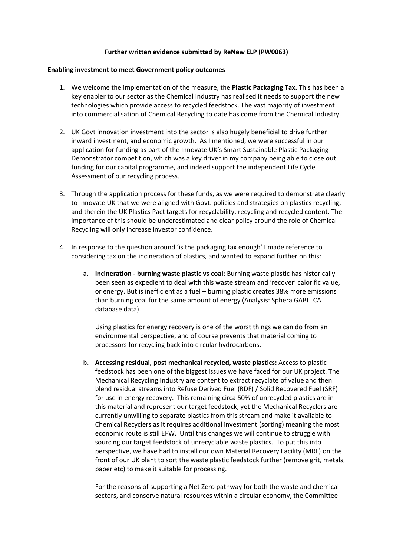## **Further written evidence submitted by ReNew ELP (PW0063)**

## **Enabling investment to meet Government policy outcomes**

- 1. We welcome the implementation of the measure, the **Plastic Packaging Tax.** This has been a key enabler to our sector as the Chemical Industry has realised it needs to support the new technologies which provide access to recycled feedstock. The vast majority of investment into commercialisation of Chemical Recycling to date has come from the Chemical Industry.
- 2. UK Govt innovation investment into the sector is also hugely beneficial to drive further inward investment, and economic growth. As I mentioned, we were successful in our application for funding as part of the Innovate UK's Smart Sustainable Plastic Packaging Demonstrator competition, which was a key driver in my company being able to close out funding for our capital programme, and indeed support the independent Life Cycle Assessment of our recycling process.
- 3. Through the application process for these funds, as we were required to demonstrate clearly to Innovate UK that we were aligned with Govt. policies and strategies on plastics recycling, and therein the UK Plastics Pact targets for recyclability, recycling and recycled content. The importance of this should be underestimated and clear policy around the role of Chemical Recycling will only increase investor confidence.
- 4. In response to the question around 'is the packaging tax enough' I made reference to considering tax on the incineration of plastics, and wanted to expand further on this:
	- a. **Incineration - burning waste plastic vs coal**: Burning waste plastic has historically been seen as expedient to deal with this waste stream and 'recover' calorific value, or energy. But is inefficient as a fuel – burning plastic creates 38% more emissions than burning coal for the same amount of energy (Analysis: Sphera GABI LCA database data).

Using plastics for energy recovery is one of the worst things we can do from an environmental perspective, and of course prevents that material coming to processors for recycling back into circular hydrocarbons.

b. **Accessing residual, post mechanical recycled, waste plastics:** Access to plastic feedstock has been one of the biggest issues we have faced for our UK project. The Mechanical Recycling Industry are content to extract recyclate of value and then blend residual streams into Refuse Derived Fuel (RDF) / Solid Recovered Fuel (SRF) for use in energy recovery. This remaining circa 50% of unrecycled plastics are in this material and represent our target feedstock, yet the Mechanical Recyclers are currently unwilling to separate plastics from this stream and make it available to Chemical Recyclers as it requires additional investment (sorting) meaning the most economic route is still EFW. Until this changes we will continue to struggle with sourcing our target feedstock of unrecyclable waste plastics. To put this into perspective, we have had to install our own Material Recovery Facility (MRF) on the front of our UK plant to sort the waste plastic feedstock further (remove grit, metals, paper etc) to make it suitable for processing.

For the reasons of supporting a Net Zero pathway for both the waste and chemical sectors, and conserve natural resources within a circular economy, the Committee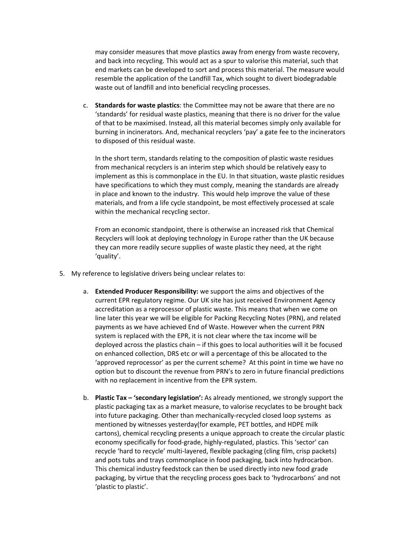may consider measures that move plastics away from energy from waste recovery, and back into recycling. This would act as a spur to valorise this material, such that end markets can be developed to sort and process this material. The measure would resemble the application of the Landfill Tax, which sought to divert biodegradable waste out of landfill and into beneficial recycling processes.

c. **Standards for waste plastics**: the Committee may not be aware that there are no 'standards' for residual waste plastics, meaning that there is no driver for the value of that to be maximised. Instead, all this material becomes simply only available for burning in incinerators. And, mechanical recyclers 'pay' a gate fee to the incinerators to disposed of this residual waste.

In the short term, standards relating to the composition of plastic waste residues from mechanical recyclers is an interim step which should be relatively easy to implement as this is commonplace in the EU. In that situation, waste plastic residues have specifications to which they must comply, meaning the standards are already in place and known to the industry. This would help improve the value of these materials, and from a life cycle standpoint, be most effectively processed at scale within the mechanical recycling sector.

From an economic standpoint, there is otherwise an increased risk that Chemical Recyclers will look at deploying technology in Europe rather than the UK because they can more readily secure supplies of waste plastic they need, at the right 'quality'.

- 5. My reference to legislative drivers being unclear relates to:
	- a. **Extended Producer Responsibility:** we support the aims and objectives of the current EPR regulatory regime. Our UK site has just received Environment Agency accreditation as a reprocessor of plastic waste. This means that when we come on line later this year we will be eligible for Packing Recycling Notes (PRN), and related payments as we have achieved End of Waste. However when the current PRN system is replaced with the EPR, it is not clear where the tax income will be deployed across the plastics chain – if this goes to local authorities will it be focused on enhanced collection, DRS etc or will a percentage of this be allocated to the 'approved reprocessor' as per the current scheme? At this point in time we have no option but to discount the revenue from PRN's to zero in future financial predictions with no replacement in incentive from the EPR system.
	- b. **Plastic Tax – 'secondary legislation':** As already mentioned, we strongly support the plastic packaging tax as a market measure, to valorise recyclates to be brought back into future packaging. Other than mechanically-recycled closed loop systems as mentioned by witnesses yesterday(for example, PET bottles, and HDPE milk cartons), chemical recycling presents a unique approach to create the circular plastic economy specifically for food-grade, highly-regulated, plastics. This 'sector' can recycle 'hard to recycle' multi-layered, flexible packaging (cling film, crisp packets) and pots tubs and trays commonplace in food packaging, back into hydrocarbon. This chemical industry feedstock can then be used directly into new food grade packaging, by virtue that the recycling process goes back to 'hydrocarbons' and not 'plastic to plastic'.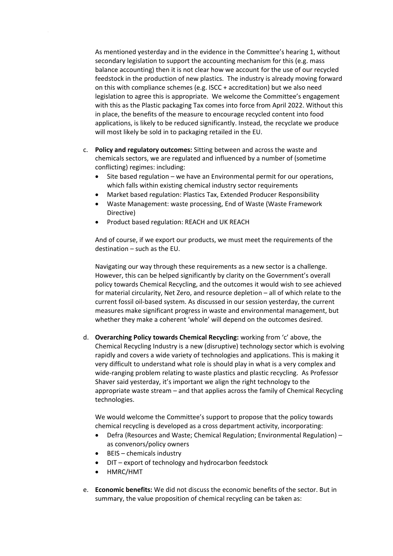As mentioned yesterday and in the evidence in the Committee's hearing 1, without secondary legislation to support the accounting mechanism for this (e.g. mass balance accounting) then it is not clear how we account for the use of our recycled feedstock in the production of new plastics. The industry is already moving forward on this with compliance schemes (e.g. ISCC + accreditation) but we also need legislation to agree this is appropriate. We welcome the Committee's engagement with this as the Plastic packaging Tax comes into force from April 2022. Without this in place, the benefits of the measure to encourage recycled content into food applications, is likely to be reduced significantly. Instead, the recyclate we produce will most likely be sold in to packaging retailed in the EU.

- c. **Policy and regulatory outcomes:** Sitting between and across the waste and chemicals sectors, we are regulated and influenced by a number of (sometime conflicting) regimes: including:
	- Site based regulation we have an Environmental permit for our operations, which falls within existing chemical industry sector requirements
	- Market based regulation: Plastics Tax, Extended Producer Responsibility
	- Waste Management: waste processing, End of Waste (Waste Framework Directive)
	- Product based regulation: REACH and UK REACH

And of course, if we export our products, we must meet the requirements of the destination – such as the EU.

Navigating our way through these requirements as a new sector is a challenge. However, this can be helped significantly by clarity on the Government's overall policy towards Chemical Recycling, and the outcomes it would wish to see achieved for material circularity, Net Zero, and resource depletion – all of which relate to the current fossil oil-based system. As discussed in our session yesterday, the current measures make significant progress in waste and environmental management, but whether they make a coherent 'whole' will depend on the outcomes desired.

d. **Overarching Policy towards Chemical Recycling:** working from 'c' above, the Chemical Recycling Industry is a new (disruptive) technology sector which is evolving rapidly and covers a wide variety of technologies and applications. This is making it very difficult to understand what role is should play in what is a very complex and wide-ranging problem relating to waste plastics and plastic recycling. As Professor Shaver said yesterday, it's important we align the right technology to the appropriate waste stream – and that applies across the family of Chemical Recycling technologies.

We would welcome the Committee's support to propose that the policy towards chemical recycling is developed as a cross department activity, incorporating:

- Defra (Resources and Waste; Chemical Regulation; Environmental Regulation) as convenors/policy owners
- BEIS chemicals industry
- DIT export of technology and hydrocarbon feedstock
- HMRC/HMT
- e. **Economic benefits:** We did not discuss the economic benefits of the sector. But in summary, the value proposition of chemical recycling can be taken as: